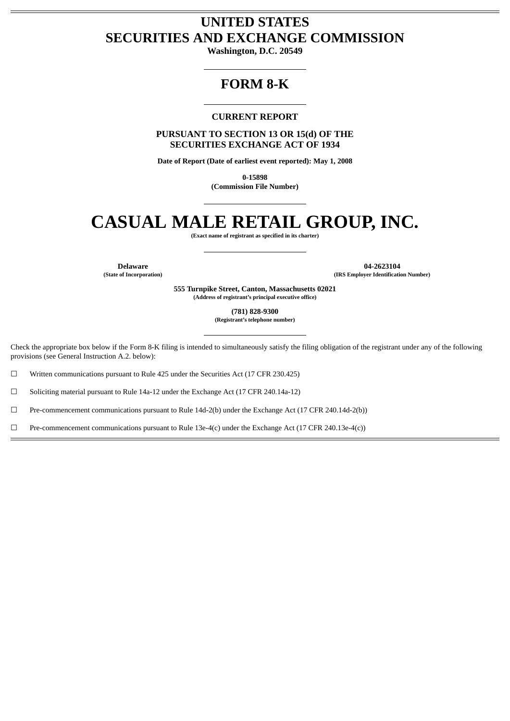# **UNITED STATES SECURITIES AND EXCHANGE COMMISSION**

**Washington, D.C. 20549**

# **FORM 8-K**

# **CURRENT REPORT**

**PURSUANT TO SECTION 13 OR 15(d) OF THE SECURITIES EXCHANGE ACT OF 1934**

**Date of Report (Date of earliest event reported): May 1, 2008**

**0-15898 (Commission File Number)**

# **CASUAL MALE RETAIL GROUP, INC.**

**(Exact name of registrant as specified in its charter)**

**Delaware 04-2623104**<br> **14-2623104**<br> **14-2623104**<br> **18. Employer Identification (State of Incorporation) (IRS Employer Identification Number)**

> **555 Turnpike Street, Canton, Massachusetts 02021 (Address of registrant's principal executive office)**

> > **(781) 828-9300 (Registrant's telephone number)**

Check the appropriate box below if the Form 8-K filing is intended to simultaneously satisfy the filing obligation of the registrant under any of the following provisions (see General Instruction A.2. below):

☐ Written communications pursuant to Rule 425 under the Securities Act (17 CFR 230.425)

☐ Soliciting material pursuant to Rule 14a-12 under the Exchange Act (17 CFR 240.14a-12)

☐ Pre-commencement communications pursuant to Rule 14d-2(b) under the Exchange Act (17 CFR 240.14d-2(b))

☐ Pre-commencement communications pursuant to Rule 13e-4(c) under the Exchange Act (17 CFR 240.13e-4(c))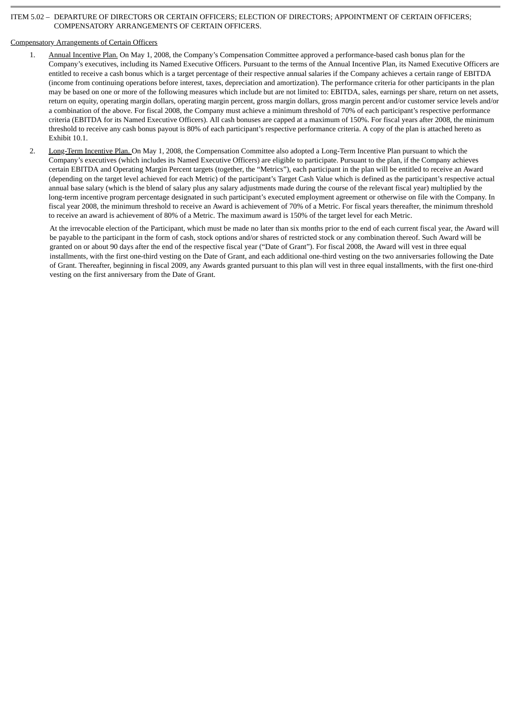# ITEM 5.02 – DEPARTURE OF DIRECTORS OR CERTAIN OFFICERS; ELECTION OF DIRECTORS; APPOINTMENT OF CERTAIN OFFICERS; COMPENSATORY ARRANGEMENTS OF CERTAIN OFFICERS.

# Compensatory Arrangements of Certain Officers

- 1. Annual Incentive Plan. On May 1, 2008, the Company's Compensation Committee approved a performance-based cash bonus plan for the Company's executives, including its Named Executive Officers. Pursuant to the terms of the Annual Incentive Plan, its Named Executive Officers are entitled to receive a cash bonus which is a target percentage of their respective annual salaries if the Company achieves a certain range of EBITDA (income from continuing operations before interest, taxes, depreciation and amortization). The performance criteria for other participants in the plan may be based on one or more of the following measures which include but are not limited to: EBITDA, sales, earnings per share, return on net assets, return on equity, operating margin dollars, operating margin percent, gross margin dollars, gross margin percent and/or customer service levels and/or a combination of the above. For fiscal 2008, the Company must achieve a minimum threshold of 70% of each participant's respective performance criteria (EBITDA for its Named Executive Officers). All cash bonuses are capped at a maximum of 150%. For fiscal years after 2008, the minimum threshold to receive any cash bonus payout is 80% of each participant's respective performance criteria. A copy of the plan is attached hereto as Exhibit 10.1.
- 2. Long-Term Incentive Plan. On May 1, 2008, the Compensation Committee also adopted a Long-Term Incentive Plan pursuant to which the Company's executives (which includes its Named Executive Officers) are eligible to participate. Pursuant to the plan, if the Company achieves certain EBITDA and Operating Margin Percent targets (together, the "Metrics"), each participant in the plan will be entitled to receive an Award (depending on the target level achieved for each Metric) of the participant's Target Cash Value which is defined as the participant's respective actual annual base salary (which is the blend of salary plus any salary adjustments made during the course of the relevant fiscal year) multiplied by the long-term incentive program percentage designated in such participant's executed employment agreement or otherwise on file with the Company. In fiscal year 2008, the minimum threshold to receive an Award is achievement of 70% of a Metric. For fiscal years thereafter, the minimum threshold to receive an award is achievement of 80% of a Metric. The maximum award is 150% of the target level for each Metric.

At the irrevocable election of the Participant, which must be made no later than six months prior to the end of each current fiscal year, the Award will be payable to the participant in the form of cash, stock options and/or shares of restricted stock or any combination thereof. Such Award will be granted on or about 90 days after the end of the respective fiscal year ("Date of Grant"). For fiscal 2008, the Award will vest in three equal installments, with the first one-third vesting on the Date of Grant, and each additional one-third vesting on the two anniversaries following the Date of Grant. Thereafter, beginning in fiscal 2009, any Awards granted pursuant to this plan will vest in three equal installments, with the first one-third vesting on the first anniversary from the Date of Grant.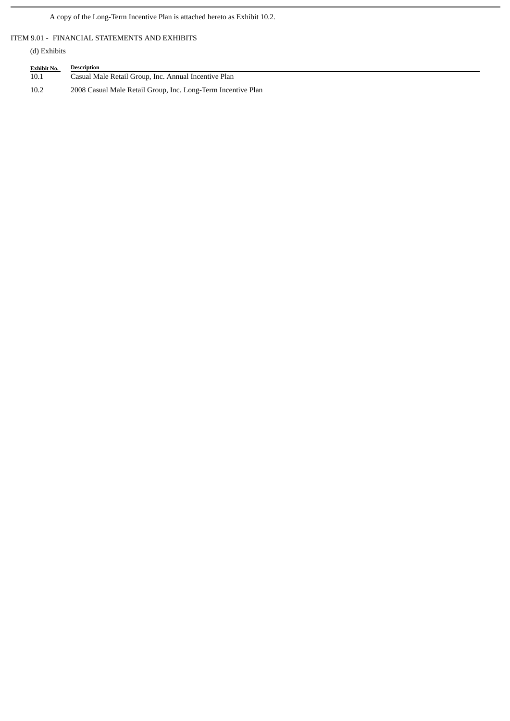A copy of the Long-Term Incentive Plan is attached hereto as Exhibit 10.2.

ITEM 9.01 - FINANCIAL STATEMENTS AND EXHIBITS

(d) Exhibits

| <b>Exhibit No.</b> | Description                                                  |
|--------------------|--------------------------------------------------------------|
| 10.1               | Casual Male Retail Group, Inc. Annual Incentive Plan         |
| 10.2               | 2008 Casual Male Retail Group, Inc. Long-Term Incentive Plan |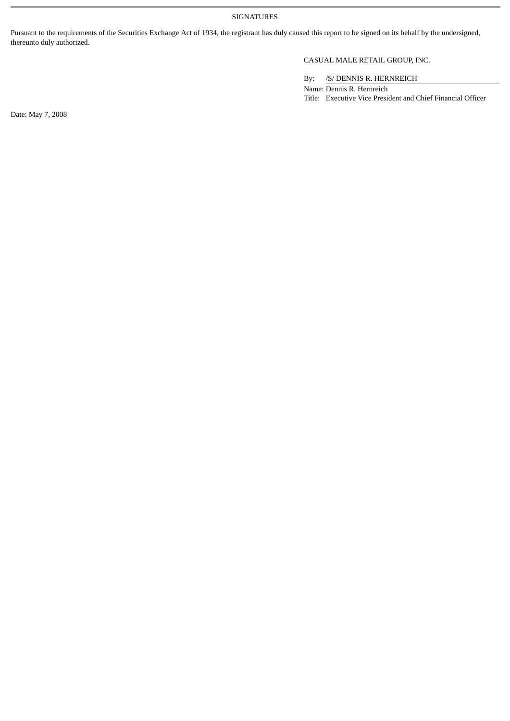SIGNATURES

Pursuant to the requirements of the Securities Exchange Act of 1934, the registrant has duly caused this report to be signed on its behalf by the undersigned, thereunto duly authorized.

# CASUAL MALE RETAIL GROUP, INC.

By: /S/ DENNIS R. HERNREICH

Name: Dennis R. Hernreich Title: Executive Vice President and Chief Financial Officer

Date: May 7, 2008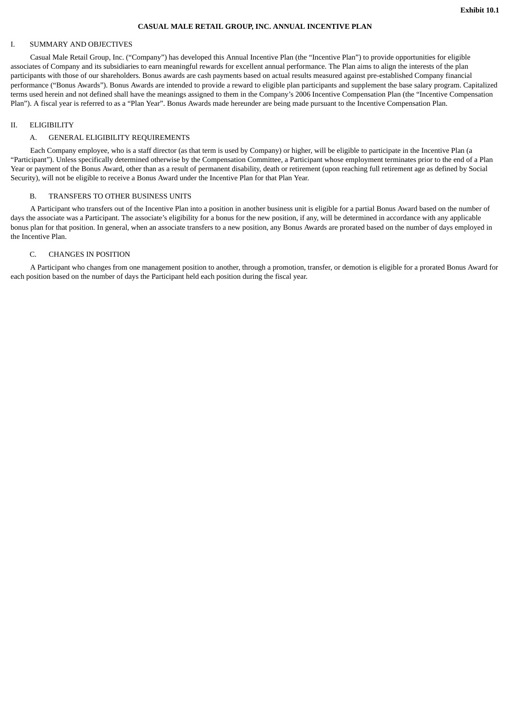# **CASUAL MALE RETAIL GROUP, INC. ANNUAL INCENTIVE PLAN**

#### I. SUMMARY AND OBJECTIVES

Casual Male Retail Group, Inc. ("Company") has developed this Annual Incentive Plan (the "Incentive Plan") to provide opportunities for eligible associates of Company and its subsidiaries to earn meaningful rewards for excellent annual performance. The Plan aims to align the interests of the plan participants with those of our shareholders. Bonus awards are cash payments based on actual results measured against pre-established Company financial performance ("Bonus Awards"). Bonus Awards are intended to provide a reward to eligible plan participants and supplement the base salary program. Capitalized terms used herein and not defined shall have the meanings assigned to them in the Company's 2006 Incentive Compensation Plan (the "Incentive Compensation Plan"). A fiscal year is referred to as a "Plan Year". Bonus Awards made hereunder are being made pursuant to the Incentive Compensation Plan.

#### II. ELIGIBILITY

#### A. GENERAL ELIGIBILITY REQUIREMENTS

Each Company employee, who is a staff director (as that term is used by Company) or higher, will be eligible to participate in the Incentive Plan (a "Participant"). Unless specifically determined otherwise by the Compensation Committee, a Participant whose employment terminates prior to the end of a Plan Year or payment of the Bonus Award, other than as a result of permanent disability, death or retirement (upon reaching full retirement age as defined by Social Security), will not be eligible to receive a Bonus Award under the Incentive Plan for that Plan Year.

#### B. TRANSFERS TO OTHER BUSINESS UNITS

A Participant who transfers out of the Incentive Plan into a position in another business unit is eligible for a partial Bonus Award based on the number of days the associate was a Participant. The associate's eligibility for a bonus for the new position, if any, will be determined in accordance with any applicable bonus plan for that position. In general, when an associate transfers to a new position, any Bonus Awards are prorated based on the number of days employed in the Incentive Plan.

#### C. CHANGES IN POSITION

A Participant who changes from one management position to another, through a promotion, transfer, or demotion is eligible for a prorated Bonus Award for each position based on the number of days the Participant held each position during the fiscal year.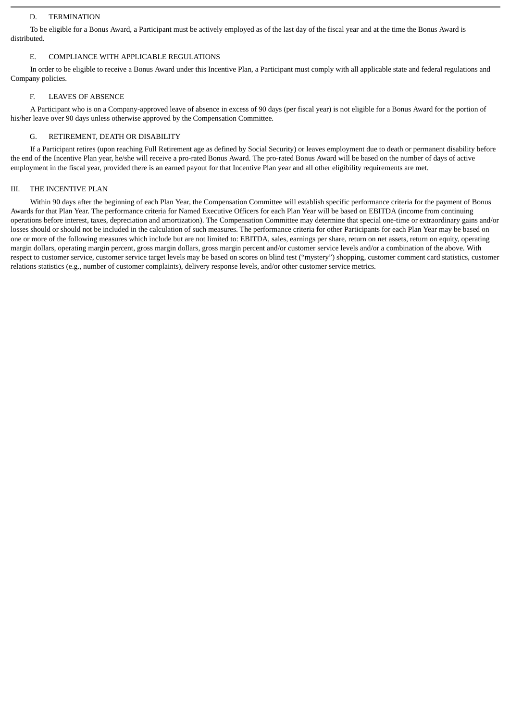# D. TERMINATION

To be eligible for a Bonus Award, a Participant must be actively employed as of the last day of the fiscal year and at the time the Bonus Award is distributed.

# E. COMPLIANCE WITH APPLICABLE REGULATIONS

In order to be eligible to receive a Bonus Award under this Incentive Plan, a Participant must comply with all applicable state and federal regulations and Company policies.

# F. LEAVES OF ABSENCE

A Participant who is on a Company-approved leave of absence in excess of 90 days (per fiscal year) is not eligible for a Bonus Award for the portion of his/her leave over 90 days unless otherwise approved by the Compensation Committee.

# G. RETIREMENT, DEATH OR DISABILITY

If a Participant retires (upon reaching Full Retirement age as defined by Social Security) or leaves employment due to death or permanent disability before the end of the Incentive Plan year, he/she will receive a pro-rated Bonus Award. The pro-rated Bonus Award will be based on the number of days of active employment in the fiscal year, provided there is an earned payout for that Incentive Plan year and all other eligibility requirements are met.

# III. THE INCENTIVE PLAN

Within 90 days after the beginning of each Plan Year, the Compensation Committee will establish specific performance criteria for the payment of Bonus Awards for that Plan Year. The performance criteria for Named Executive Officers for each Plan Year will be based on EBITDA (income from continuing operations before interest, taxes, depreciation and amortization). The Compensation Committee may determine that special one-time or extraordinary gains and/or losses should or should not be included in the calculation of such measures. The performance criteria for other Participants for each Plan Year may be based on one or more of the following measures which include but are not limited to: EBITDA, sales, earnings per share, return on net assets, return on equity, operating margin dollars, operating margin percent, gross margin dollars, gross margin percent and/or customer service levels and/or a combination of the above. With respect to customer service, customer service target levels may be based on scores on blind test ("mystery") shopping, customer comment card statistics, customer relations statistics (e.g., number of customer complaints), delivery response levels, and/or other customer service metrics.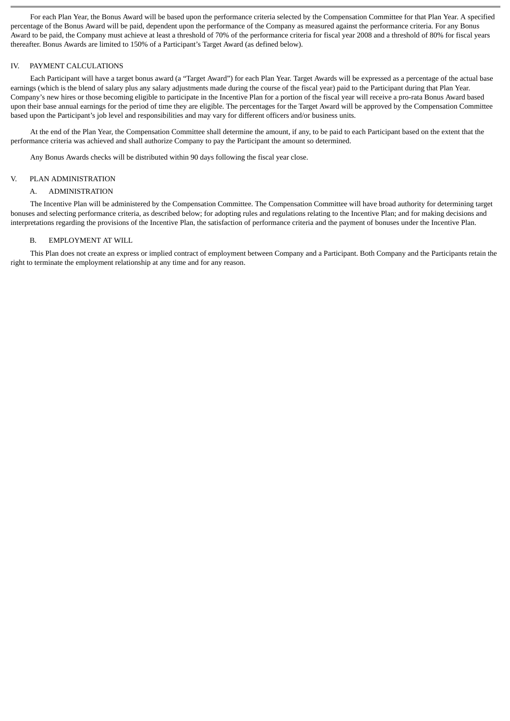For each Plan Year, the Bonus Award will be based upon the performance criteria selected by the Compensation Committee for that Plan Year. A specified percentage of the Bonus Award will be paid, dependent upon the performance of the Company as measured against the performance criteria. For any Bonus Award to be paid, the Company must achieve at least a threshold of 70% of the performance criteria for fiscal year 2008 and a threshold of 80% for fiscal years thereafter. Bonus Awards are limited to 150% of a Participant's Target Award (as defined below).

#### IV. PAYMENT CALCULATIONS

Each Participant will have a target bonus award (a "Target Award") for each Plan Year. Target Awards will be expressed as a percentage of the actual base earnings (which is the blend of salary plus any salary adjustments made during the course of the fiscal year) paid to the Participant during that Plan Year. Company's new hires or those becoming eligible to participate in the Incentive Plan for a portion of the fiscal year will receive a pro-rata Bonus Award based upon their base annual earnings for the period of time they are eligible. The percentages for the Target Award will be approved by the Compensation Committee based upon the Participant's job level and responsibilities and may vary for different officers and/or business units.

At the end of the Plan Year, the Compensation Committee shall determine the amount, if any, to be paid to each Participant based on the extent that the performance criteria was achieved and shall authorize Company to pay the Participant the amount so determined.

Any Bonus Awards checks will be distributed within 90 days following the fiscal year close.

#### V. PLAN ADMINISTRATION

#### A. ADMINISTRATION

The Incentive Plan will be administered by the Compensation Committee. The Compensation Committee will have broad authority for determining target bonuses and selecting performance criteria, as described below; for adopting rules and regulations relating to the Incentive Plan; and for making decisions and interpretations regarding the provisions of the Incentive Plan, the satisfaction of performance criteria and the payment of bonuses under the Incentive Plan.

#### B. EMPLOYMENT AT WILL

This Plan does not create an express or implied contract of employment between Company and a Participant. Both Company and the Participants retain the right to terminate the employment relationship at any time and for any reason.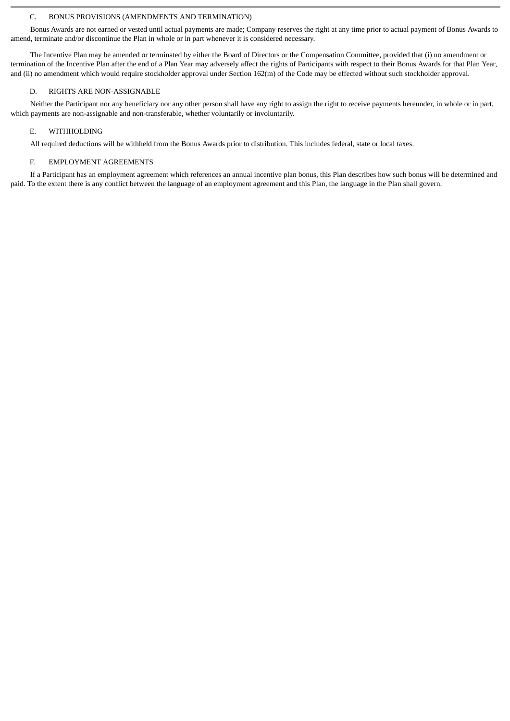# C. BONUS PROVISIONS (AMENDMENTS AND TERMINATION)

Bonus Awards are not earned or vested until actual payments are made; Company reserves the right at any time prior to actual payment of Bonus Awards to amend, terminate and/or discontinue the Plan in whole or in part whenever it is considered necessary.

The Incentive Plan may be amended or terminated by either the Board of Directors or the Compensation Committee, provided that (i) no amendment or termination of the Incentive Plan after the end of a Plan Year may adversely affect the rights of Participants with respect to their Bonus Awards for that Plan Year, and (ii) no amendment which would require stockholder approval under Section 162(m) of the Code may be effected without such stockholder approval.

#### D. RIGHTS ARE NON-ASSIGNABLE

Neither the Participant nor any beneficiary nor any other person shall have any right to assign the right to receive payments hereunder, in whole or in part, which payments are non-assignable and non-transferable, whether voluntarily or involuntarily.

#### E. WITHHOLDING

All required deductions will be withheld from the Bonus Awards prior to distribution. This includes federal, state or local taxes.

#### F. EMPLOYMENT AGREEMENTS

If a Participant has an employment agreement which references an annual incentive plan bonus, this Plan describes how such bonus will be determined and paid. To the extent there is any conflict between the language of an employment agreement and this Plan, the language in the Plan shall govern.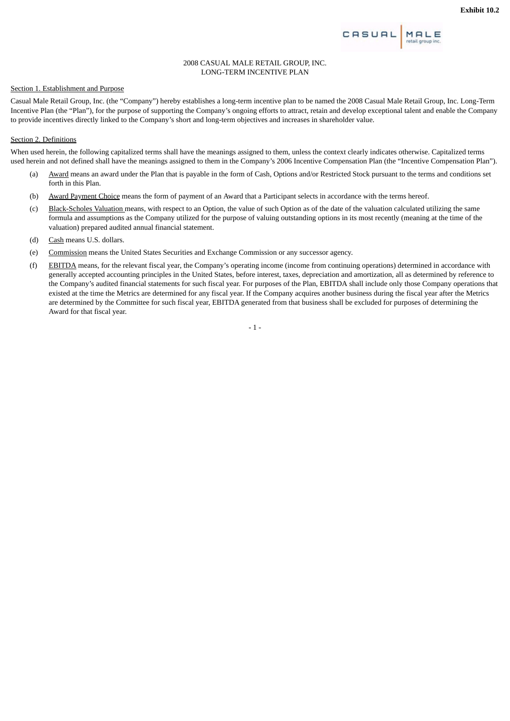

#### 2008 CASUAL MALE RETAIL GROUP, INC. LONG-TERM INCENTIVE PLAN

# Section 1. Establishment and Purpose

Casual Male Retail Group, Inc. (the "Company") hereby establishes a long-term incentive plan to be named the 2008 Casual Male Retail Group, Inc. Long-Term Incentive Plan (the "Plan"), for the purpose of supporting the Company's ongoing efforts to attract, retain and develop exceptional talent and enable the Company to provide incentives directly linked to the Company's short and long-term objectives and increases in shareholder value.

#### Section 2. Definitions

When used herein, the following capitalized terms shall have the meanings assigned to them, unless the context clearly indicates otherwise. Capitalized terms used herein and not defined shall have the meanings assigned to them in the Company's 2006 Incentive Compensation Plan (the "Incentive Compensation Plan").

- (a) Award means an award under the Plan that is payable in the form of Cash, Options and/or Restricted Stock pursuant to the terms and conditions set forth in this Plan.
- (b) Award Payment Choice means the form of payment of an Award that a Participant selects in accordance with the terms hereof.
- (c) Black-Scholes Valuation means, with respect to an Option, the value of such Option as of the date of the valuation calculated utilizing the same formula and assumptions as the Company utilized for the purpose of valuing outstanding options in its most recently (meaning at the time of the valuation) prepared audited annual financial statement.
- (d) Cash means U.S. dollars.
- (e) Commission means the United States Securities and Exchange Commission or any successor agency.
- (f) EBITDA means, for the relevant fiscal year, the Company's operating income (income from continuing operations) determined in accordance with generally accepted accounting principles in the United States, before interest, taxes, depreciation and amortization, all as determined by reference to the Company's audited financial statements for such fiscal year. For purposes of the Plan, EBITDA shall include only those Company operations that existed at the time the Metrics are determined for any fiscal year. If the Company acquires another business during the fiscal year after the Metrics are determined by the Committee for such fiscal year, EBITDA generated from that business shall be excluded for purposes of determining the Award for that fiscal year.

- 1 -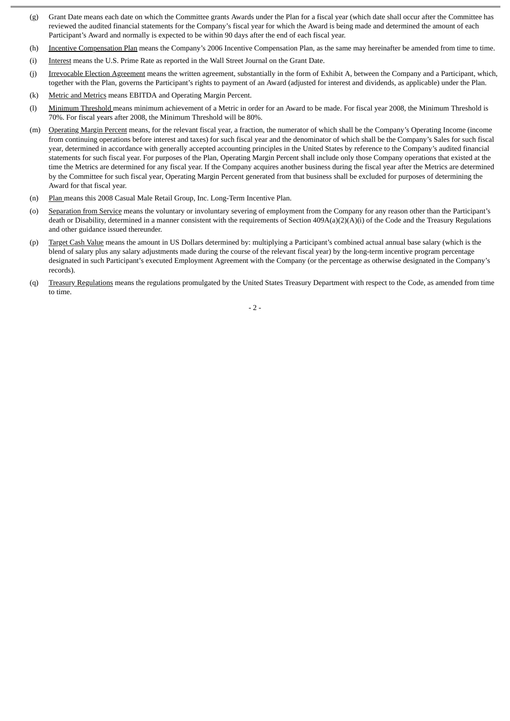- (g) Grant Date means each date on which the Committee grants Awards under the Plan for a fiscal year (which date shall occur after the Committee has reviewed the audited financial statements for the Company's fiscal year for which the Award is being made and determined the amount of each Participant's Award and normally is expected to be within 90 days after the end of each fiscal year.
- (h) Incentive Compensation Plan means the Company's 2006 Incentive Compensation Plan, as the same may hereinafter be amended from time to time.
- (i) Interest means the U.S. Prime Rate as reported in the Wall Street Journal on the Grant Date.
- (j) Irrevocable Election Agreement means the written agreement, substantially in the form of Exhibit A, between the Company and a Participant, which, together with the Plan, governs the Participant's rights to payment of an Award (adjusted for interest and dividends, as applicable) under the Plan.
- (k) Metric and Metrics means EBITDA and Operating Margin Percent.
- (l) Minimum Threshold means minimum achievement of a Metric in order for an Award to be made. For fiscal year 2008, the Minimum Threshold is 70%. For fiscal years after 2008, the Minimum Threshold will be 80%.
- (m) Operating Margin Percent means, for the relevant fiscal year, a fraction, the numerator of which shall be the Company's Operating Income (income from continuing operations before interest and taxes) for such fiscal year and the denominator of which shall be the Company's Sales for such fiscal year, determined in accordance with generally accepted accounting principles in the United States by reference to the Company's audited financial statements for such fiscal year. For purposes of the Plan, Operating Margin Percent shall include only those Company operations that existed at the time the Metrics are determined for any fiscal year. If the Company acquires another business during the fiscal year after the Metrics are determined by the Committee for such fiscal year, Operating Margin Percent generated from that business shall be excluded for purposes of determining the Award for that fiscal year.
- (n) Plan means this 2008 Casual Male Retail Group, Inc. Long-Term Incentive Plan.
- (o) Separation from Service means the voluntary or involuntary severing of employment from the Company for any reason other than the Participant's death or Disability, determined in a manner consistent with the requirements of Section 409A(a)(2)(A)(i) of the Code and the Treasury Regulations and other guidance issued thereunder.
- (p) Target Cash Value means the amount in US Dollars determined by: multiplying a Participant's combined actual annual base salary (which is the blend of salary plus any salary adjustments made during the course of the relevant fiscal year) by the long-term incentive program percentage designated in such Participant's executed Employment Agreement with the Company (or the percentage as otherwise designated in the Company's records).
- (q) Treasury Regulations means the regulations promulgated by the United States Treasury Department with respect to the Code, as amended from time to time.

 $-2-$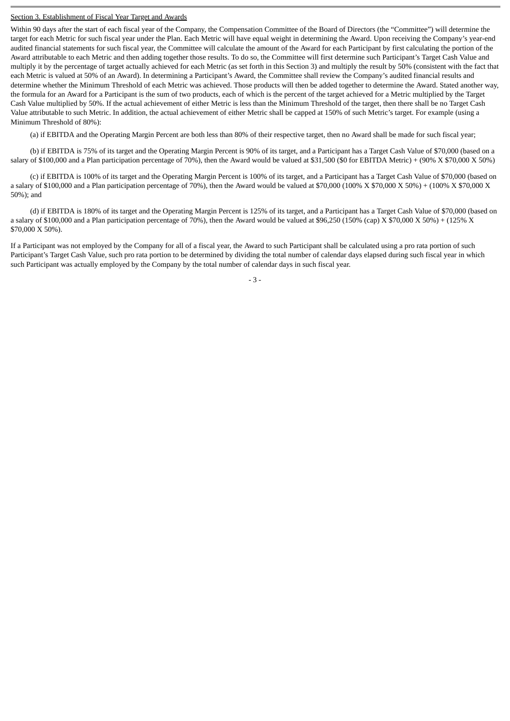#### Section 3. Establishment of Fiscal Year Target and Awards

Within 90 days after the start of each fiscal year of the Company, the Compensation Committee of the Board of Directors (the "Committee") will determine the target for each Metric for such fiscal year under the Plan. Each Metric will have equal weight in determining the Award. Upon receiving the Company's year-end audited financial statements for such fiscal year, the Committee will calculate the amount of the Award for each Participant by first calculating the portion of the Award attributable to each Metric and then adding together those results. To do so, the Committee will first determine such Participant's Target Cash Value and multiply it by the percentage of target actually achieved for each Metric (as set forth in this Section 3) and multiply the result by 50% (consistent with the fact that each Metric is valued at 50% of an Award). In determining a Participant's Award, the Committee shall review the Company's audited financial results and determine whether the Minimum Threshold of each Metric was achieved. Those products will then be added together to determine the Award. Stated another way, the formula for an Award for a Participant is the sum of two products, each of which is the percent of the target achieved for a Metric multiplied by the Target Cash Value multiplied by 50%. If the actual achievement of either Metric is less than the Minimum Threshold of the target, then there shall be no Target Cash Value attributable to such Metric. In addition, the actual achievement of either Metric shall be capped at 150% of such Metric's target. For example (using a Minimum Threshold of 80%):

(a) if EBITDA and the Operating Margin Percent are both less than 80% of their respective target, then no Award shall be made for such fiscal year;

(b) if EBITDA is 75% of its target and the Operating Margin Percent is 90% of its target, and a Participant has a Target Cash Value of \$70,000 (based on a salary of \$100,000 and a Plan participation percentage of 70%), then the Award would be valued at \$31,500 (\$0 for EBITDA Metric) + (90% X \$70,000 X 50%)

(c) if EBITDA is 100% of its target and the Operating Margin Percent is 100% of its target, and a Participant has a Target Cash Value of \$70,000 (based on a salary of \$100,000 and a Plan participation percentage of 70%), then the Award would be valued at \$70,000 (100% X \$70,000 X 50%) + (100% X \$70,000 X 50%); and

(d) if EBITDA is 180% of its target and the Operating Margin Percent is 125% of its target, and a Participant has a Target Cash Value of \$70,000 (based on a salary of \$100,000 and a Plan participation percentage of 70%), then the Award would be valued at \$96,250 (150% (cap) X \$70,000 X 50%) + (125% X \$70,000 X 50%).

If a Participant was not employed by the Company for all of a fiscal year, the Award to such Participant shall be calculated using a pro rata portion of such Participant's Target Cash Value, such pro rata portion to be determined by dividing the total number of calendar days elapsed during such fiscal year in which such Participant was actually employed by the Company by the total number of calendar days in such fiscal year.

- 3 -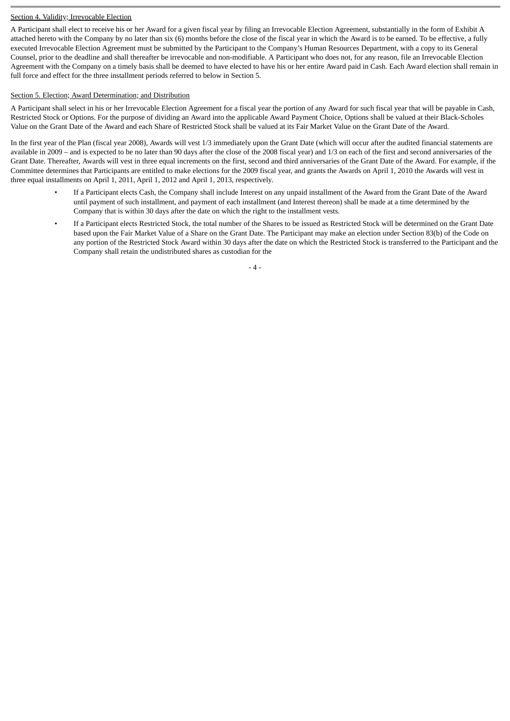# Section 4. Validity; Irrevocable Election

A Participant shall elect to receive his or her Award for a given fiscal year by filing an Irrevocable Election Agreement, substantially in the form of Exhibit A attached hereto with the Company by no later than six (6) months before the close of the fiscal year in which the Award is to be earned. To be effective, a fully executed Irrevocable Election Agreement must be submitted by the Participant to the Company's Human Resources Department, with a copy to its General Counsel, prior to the deadline and shall thereafter be irrevocable and non-modifiable. A Participant who does not, for any reason, file an Irrevocable Election Agreement with the Company on a timely basis shall be deemed to have elected to have his or her entire Award paid in Cash. Each Award election shall remain in full force and effect for the three installment periods referred to below in Section 5.

# Section 5. Election; Award Determination; and Distribution

A Participant shall select in his or her Irrevocable Election Agreement for a fiscal year the portion of any Award for such fiscal year that will be payable in Cash, Restricted Stock or Options. For the purpose of dividing an Award into the applicable Award Payment Choice, Options shall be valued at their Black-Scholes Value on the Grant Date of the Award and each Share of Restricted Stock shall be valued at its Fair Market Value on the Grant Date of the Award.

In the first year of the Plan (fiscal year 2008), Awards will vest 1/3 immediately upon the Grant Date (which will occur after the audited financial statements are available in 2009 – and is expected to be no later than 90 days after the close of the 2008 fiscal year) and 1/3 on each of the first and second anniversaries of the Grant Date. Thereafter, Awards will vest in three equal increments on the first, second and third anniversaries of the Grant Date of the Award. For example, if the Committee determines that Participants are entitled to make elections for the 2009 fiscal year, and grants the Awards on April 1, 2010 the Awards will vest in three equal installments on April 1, 2011, April 1, 2012 and April 1, 2013, respectively.

- If a Participant elects Cash, the Company shall include Interest on any unpaid installment of the Award from the Grant Date of the Award until payment of such installment, and payment of each installment (and Interest thereon) shall be made at a time determined by the Company that is within 30 days after the date on which the right to the installment vests.
- If a Participant elects Restricted Stock, the total number of the Shares to be issued as Restricted Stock will be determined on the Grant Date based upon the Fair Market Value of a Share on the Grant Date. The Participant may make an election under Section 83(b) of the Code on any portion of the Restricted Stock Award within 30 days after the date on which the Restricted Stock is transferred to the Participant and the Company shall retain the undistributed shares as custodian for the

 $- 4 -$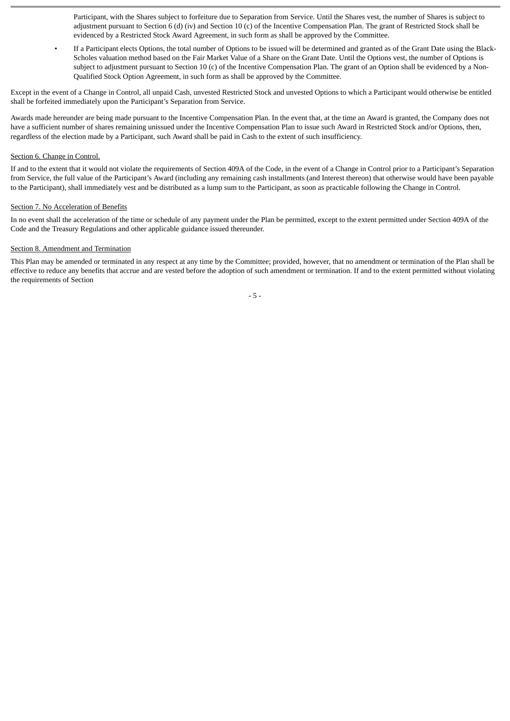Participant, with the Shares subject to forfeiture due to Separation from Service. Until the Shares vest, the number of Shares is subject to adjustment pursuant to Section 6 (d) (iv) and Section 10 (c) of the Incentive Compensation Plan. The grant of Restricted Stock shall be evidenced by a Restricted Stock Award Agreement, in such form as shall be approved by the Committee.

• If a Participant elects Options, the total number of Options to be issued will be determined and granted as of the Grant Date using the Black-Scholes valuation method based on the Fair Market Value of a Share on the Grant Date. Until the Options vest, the number of Options is subject to adjustment pursuant to Section 10 (c) of the Incentive Compensation Plan. The grant of an Option shall be evidenced by a Non-Qualified Stock Option Agreement, in such form as shall be approved by the Committee.

Except in the event of a Change in Control, all unpaid Cash, unvested Restricted Stock and unvested Options to which a Participant would otherwise be entitled shall be forfeited immediately upon the Participant's Separation from Service.

Awards made hereunder are being made pursuant to the Incentive Compensation Plan. In the event that, at the time an Award is granted, the Company does not have a sufficient number of shares remaining unissued under the Incentive Compensation Plan to issue such Award in Restricted Stock and/or Options, then, regardless of the election made by a Participant, such Award shall be paid in Cash to the extent of such insufficiency.

### Section 6. Change in Control.

If and to the extent that it would not violate the requirements of Section 409A of the Code, in the event of a Change in Control prior to a Participant's Separation from Service, the full value of the Participant's Award (including any remaining cash installments (and Interest thereon) that otherwise would have been payable to the Participant), shall immediately vest and be distributed as a lump sum to the Participant, as soon as practicable following the Change in Control.

#### Section 7. No Acceleration of Benefits

In no event shall the acceleration of the time or schedule of any payment under the Plan be permitted, except to the extent permitted under Section 409A of the Code and the Treasury Regulations and other applicable guidance issued thereunder.

### Section 8. Amendment and Termination

This Plan may be amended or terminated in any respect at any time by the Committee; provided, however, that no amendment or termination of the Plan shall be effective to reduce any benefits that accrue and are vested before the adoption of such amendment or termination. If and to the extent permitted without violating the requirements of Section

- 5 -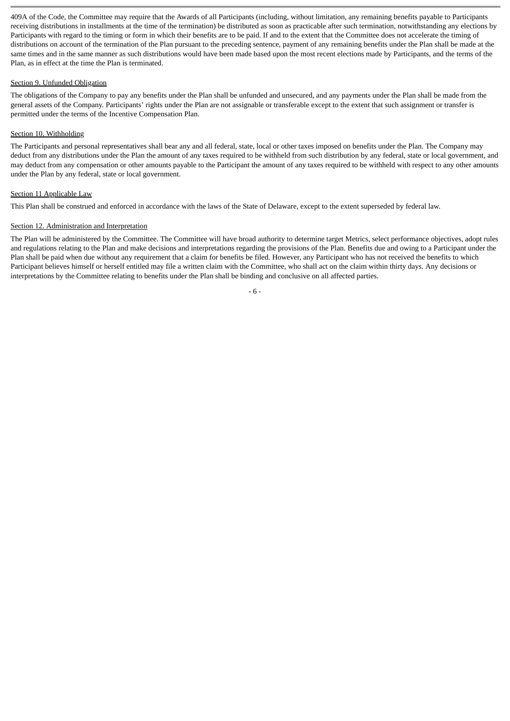409A of the Code, the Committee may require that the Awards of all Participants (including, without limitation, any remaining benefits payable to Participants receiving distributions in installments at the time of the termination) be distributed as soon as practicable after such termination, notwithstanding any elections by Participants with regard to the timing or form in which their benefits are to be paid. If and to the extent that the Committee does not accelerate the timing of distributions on account of the termination of the Plan pursuant to the preceding sentence, payment of any remaining benefits under the Plan shall be made at the same times and in the same manner as such distributions would have been made based upon the most recent elections made by Participants, and the terms of the Plan, as in effect at the time the Plan is terminated.

# Section 9. Unfunded Obligation

The obligations of the Company to pay any benefits under the Plan shall be unfunded and unsecured, and any payments under the Plan shall be made from the general assets of the Company. Participants' rights under the Plan are not assignable or transferable except to the extent that such assignment or transfer is permitted under the terms of the Incentive Compensation Plan.

# Section 10. Withholding

The Participants and personal representatives shall bear any and all federal, state, local or other taxes imposed on benefits under the Plan. The Company may deduct from any distributions under the Plan the amount of any taxes required to be withheld from such distribution by any federal, state or local government, and may deduct from any compensation or other amounts payable to the Participant the amount of any taxes required to be withheld with respect to any other amounts under the Plan by any federal, state or local government.

# Section 11 Applicable Law

This Plan shall be construed and enforced in accordance with the laws of the State of Delaware, except to the extent superseded by federal law.

# Section 12. Administration and Interpretation

The Plan will be administered by the Committee. The Committee will have broad authority to determine target Metrics, select performance objectives, adopt rules and regulations relating to the Plan and make decisions and interpretations regarding the provisions of the Plan. Benefits due and owing to a Participant under the Plan shall be paid when due without any requirement that a claim for benefits be filed. However, any Participant who has not received the benefits to which Participant believes himself or herself entitled may file a written claim with the Committee, who shall act on the claim within thirty days. Any decisions or interpretations by the Committee relating to benefits under the Plan shall be binding and conclusive on all affected parties.

- 6 -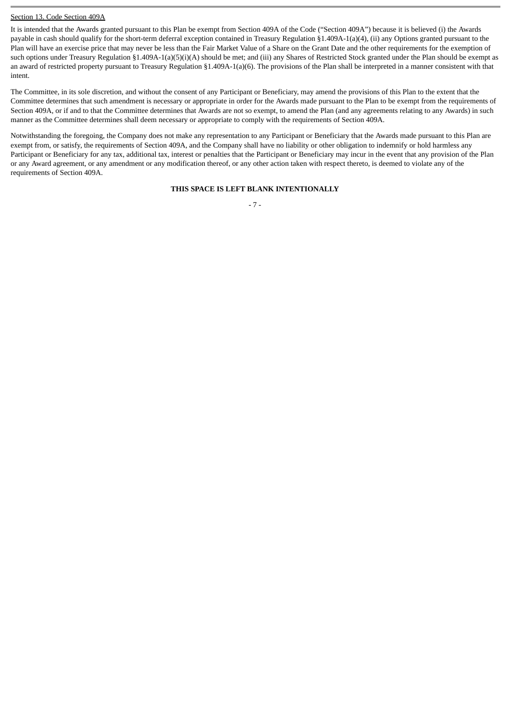### Section 13. Code Section 409A

It is intended that the Awards granted pursuant to this Plan be exempt from Section 409A of the Code ("Section 409A") because it is believed (i) the Awards payable in cash should qualify for the short-term deferral exception contained in Treasury Regulation §1.409A-1(a)(4), (ii) any Options granted pursuant to the Plan will have an exercise price that may never be less than the Fair Market Value of a Share on the Grant Date and the other requirements for the exemption of such options under Treasury Regulation §1.409A-1(a)(5)(i)(A) should be met; and (iii) any Shares of Restricted Stock granted under the Plan should be exempt as an award of restricted property pursuant to Treasury Regulation §1.409A-1(a)(6). The provisions of the Plan shall be interpreted in a manner consistent with that intent.

The Committee, in its sole discretion, and without the consent of any Participant or Beneficiary, may amend the provisions of this Plan to the extent that the Committee determines that such amendment is necessary or appropriate in order for the Awards made pursuant to the Plan to be exempt from the requirements of Section 409A, or if and to that the Committee determines that Awards are not so exempt, to amend the Plan (and any agreements relating to any Awards) in such manner as the Committee determines shall deem necessary or appropriate to comply with the requirements of Section 409A.

Notwithstanding the foregoing, the Company does not make any representation to any Participant or Beneficiary that the Awards made pursuant to this Plan are exempt from, or satisfy, the requirements of Section 409A, and the Company shall have no liability or other obligation to indemnify or hold harmless any Participant or Beneficiary for any tax, additional tax, interest or penalties that the Participant or Beneficiary may incur in the event that any provision of the Plan or any Award agreement, or any amendment or any modification thereof, or any other action taken with respect thereto, is deemed to violate any of the requirements of Section 409A.

#### **THIS SPACE IS LEFT BLANK INTENTIONALLY**

- 7 -